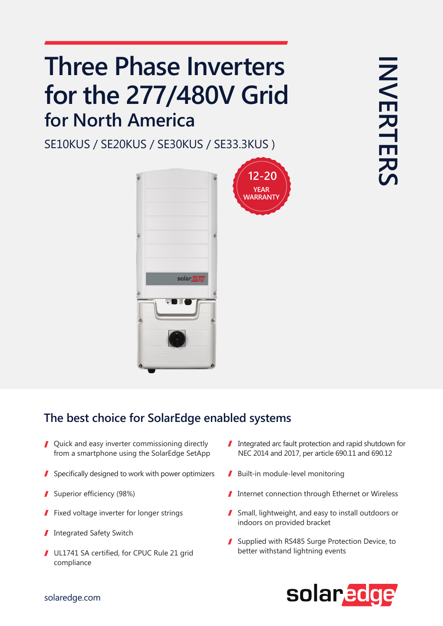# **Three Phase Inverters** for the 277/480V Grid **for North America**

SE10KUS / SE20KUS / SE30KUS / SE33.3KUS)



### The best choice for SolarEdge enabled systems

- $\blacksquare$  Quick and easy inverter commissioning directly from a smartphone using the SolarEdge SetApp
- I Specifically designed to work with power optimizers  $\blacksquare$  Built-in module-level monitoring
- 
- Fixed voltage inverter for longer strings
- Integrated Safety Switch I
- UL1741 SA certified, for CPUC Rule 21 grid compliance
- $\blacksquare$  Integrated arc fault protection and rapid shutdown for NEC 2014 and 2017, per article 690.11 and 690.12
- 
- Superior efficiency (98%) (Superior efficiency (98%) (Effection Internet connection through Ethernet or Wireless
	- $\blacksquare$  Small, lightweight, and easy to install outdoors or indoors on provided bracket
	- Supplied with RS485 Surge Protection Device, to better withstand lightning events



#### solaredge.com